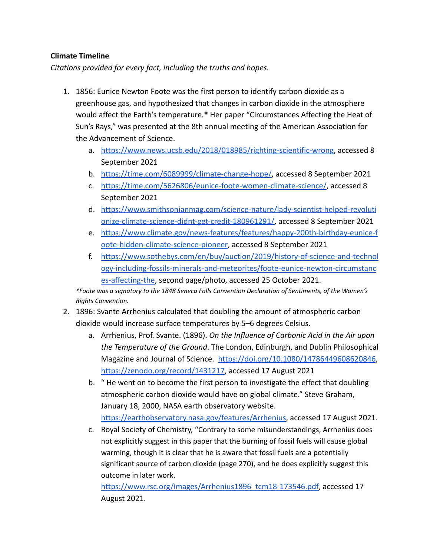## **Climate Timeline**

*Citations provided for every fact, including the truths and hopes.*

- 1. 1856: Eunice Newton Foote was the first person to identify carbon dioxide as a greenhouse gas, and hypothesized that changes in carbon dioxide in the atmosphere would affect the Earth's temperature.**\*** Her paper "Circumstances Affecting the Heat of Sun's Rays," was presented at the 8th annual meeting of the American Association for the Advancement of Science.
	- a. <https://www.news.ucsb.edu/2018/018985/righting-scientific-wrong>, accessed 8 September 2021
	- b. [https://time.com/6089999/climate-change-hope/,](https://time.com/6089999/climate-change-hope/) accessed 8 September 2021
	- c. <https://time.com/5626806/eunice-foote-women-climate-science/>, accessed 8 September 2021
	- d. [https://www.smithsonianmag.com/science-nature/lady-scientist-helped-revoluti](https://www.smithsonianmag.com/science-nature/lady-scientist-helped-revolutionize-climate-science-didnt-get-credit-180961291/) [onize-climate-science-didnt-get-credit-180961291/,](https://www.smithsonianmag.com/science-nature/lady-scientist-helped-revolutionize-climate-science-didnt-get-credit-180961291/) accessed 8 September 2021
	- e. [https://www.climate.gov/news-features/features/happy-200th-birthday-eunice-f](https://www.climate.gov/news-features/features/happy-200th-birthday-eunice-foote-hidden-climate-science-pioneer) [oote-hidden-climate-science-pioneer](https://www.climate.gov/news-features/features/happy-200th-birthday-eunice-foote-hidden-climate-science-pioneer), accessed 8 September 2021
	- f. [https://www.sothebys.com/en/buy/auction/2019/history-of-science-and-technol](https://www.sothebys.com/en/buy/auction/2019/history-of-science-and-technology-including-fossils-minerals-and-meteorites/foote-eunice-newton-circumstances-affecting-the) [ogy-including-fossils-minerals-and-meteorites/foote-eunice-newton-circumstanc](https://www.sothebys.com/en/buy/auction/2019/history-of-science-and-technology-including-fossils-minerals-and-meteorites/foote-eunice-newton-circumstances-affecting-the) [es-affecting-the,](https://www.sothebys.com/en/buy/auction/2019/history-of-science-and-technology-including-fossils-minerals-and-meteorites/foote-eunice-newton-circumstances-affecting-the) second page/photo, accessed 25 October 2021.

*\*Foote was a signatory to the 1848 Seneca Falls Convention Declaration of Sentiments, of the Women's Rights Convention.*

- 2. 1896: Svante Arrhenius calculated that doubling the amount of atmospheric carbon dioxide would increase surface temperatures by 5–6 degrees Celsius.
	- a. Arrhenius, Prof. Svante. (1896). *On the Influence of Carbonic Acid in the Air upon the Temperature of the Ground*. The London, Edinburgh, and Dublin Philosophical Magazine and Journal of Science. <https://doi.org/10.1080/14786449608620846>, <https://zenodo.org/record/1431217>, accessed 17 August 2021
	- b. " He went on to become the first person to investigate the effect that doubling atmospheric carbon dioxide would have on global climate." Steve Graham, January 18, 2000, NASA earth observatory website. <https://earthobservatory.nasa.gov/features/Arrhenius>, accessed 17 August 2021.
	- c. Royal Society of Chemistry, "Contrary to some misunderstandings, Arrhenius does not explicitly suggest in this paper that the burning of fossil fuels will cause global warming, though it is clear that he is aware that fossil fuels are a potentially significant source of carbon dioxide (page 270), and he does explicitly suggest this outcome in later work.

[https://www.rsc.org/images/Arrhenius1896\\_tcm18-173546.pdf](https://www.rsc.org/images/Arrhenius1896_tcm18-173546.pdf), accessed 17 August 2021.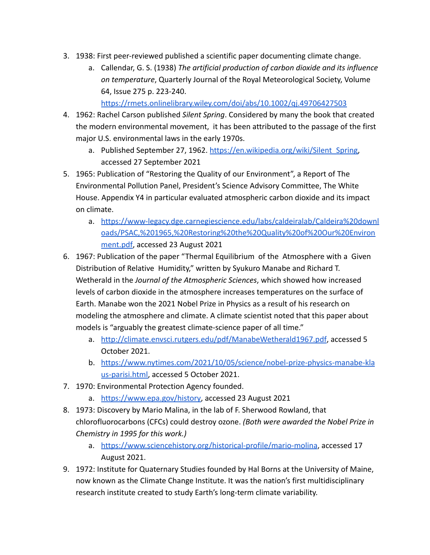- 3. 1938: First peer-reviewed published a scientific paper documenting climate change.
	- a. Callendar, G. S. (1938) *The artificial production of carbon dioxide and its influence on temperature*, Quarterly Journal of the Royal Meteorological Society, Volume 64, Issue 275 p. 223-240.
		- <https://rmets.onlinelibrary.wiley.com/doi/abs/10.1002/qj.49706427503>
- 4. 1962: Rachel Carson published *Silent Spring*. Considered by many the book that created the modern environmental movement, it has been attributed to the passage of the first major U.S. environmental laws in the early 1970s.
	- a. Published September 27, 1962. [https://en.wikipedia.org/wiki/Silent\\_Spring,](https://en.wikipedia.org/wiki/Silent_Spring) accessed 27 September 2021
- 5. 1965: Publication of "Restoring the Quality of our Environment", a Report of The Environmental Pollution Panel, President's Science Advisory Committee, The White House. Appendix Y4 in particular evaluated atmospheric carbon dioxide and its impact on climate.
	- a. [https://www-legacy.dge.carnegiescience.edu/labs/caldeiralab/Caldeira%20downl](https://www-legacy.dge.carnegiescience.edu/labs/caldeiralab/Caldeira%20downloads/PSAC,%201965,%20Restoring%20the%20Quality%20of%20Our%20Environment.pdf) [oads/PSAC,%201965,%20Restoring%20the%20Quality%20of%20Our%20Environ](https://www-legacy.dge.carnegiescience.edu/labs/caldeiralab/Caldeira%20downloads/PSAC,%201965,%20Restoring%20the%20Quality%20of%20Our%20Environment.pdf) [ment.pdf](https://www-legacy.dge.carnegiescience.edu/labs/caldeiralab/Caldeira%20downloads/PSAC,%201965,%20Restoring%20the%20Quality%20of%20Our%20Environment.pdf), accessed 23 August 2021
- 6. 1967: Publication of the paper "Thermal Equilibrium of the Atmosphere with a Given Distribution of Relative Humidity," written by Syukuro Manabe and Richard T. Wetherald in the *Journal of the Atmospheric Sciences*, which showed how increased levels of carbon dioxide in the atmosphere increases temperatures on the surface of Earth. Manabe won the 2021 Nobel Prize in Physics as a result of his research on modeling the atmosphere and climate. A climate scientist noted that this paper about models is "arguably the greatest climate-science paper of all time."
	- a. <http://climate.envsci.rutgers.edu/pdf/ManabeWetherald1967.pdf>, accessed 5 October 2021.
	- b. [https://www.nytimes.com/2021/10/05/science/nobel-prize-physics-manabe-kla](https://www.nytimes.com/2021/10/05/science/nobel-prize-physics-manabe-klaus-parisi.html) [us-parisi.html,](https://www.nytimes.com/2021/10/05/science/nobel-prize-physics-manabe-klaus-parisi.html) accessed 5 October 2021.
- 7. 1970: Environmental Protection Agency founded.
	- a. <https://www.epa.gov/history>, accessed 23 August 2021
- 8. 1973: Discovery by Mario Malina, in the lab of F. Sherwood Rowland, that chlorofluorocarbons (CFCs) could destroy ozone. *(Both were awarded the Nobel Prize in Chemistry in 1995 for this work.)*
	- a. <https://www.sciencehistory.org/historical-profile/mario-molina>, accessed 17 August 2021.
- 9. 1972: Institute for Quaternary Studies founded by Hal Borns at the University of Maine, now known as the Climate Change Institute. It was the nation's first multidisciplinary research institute created to study Earth's long-term climate variability.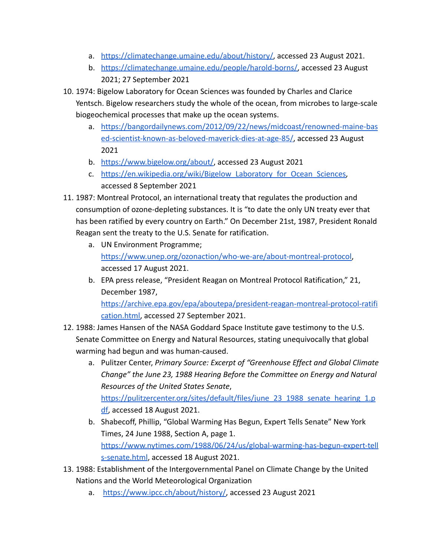- a. <https://climatechange.umaine.edu/about/history/>, accessed 23 August 2021.
- b. [https://climatechange.umaine.edu/people/harold-borns/,](https://climatechange.umaine.edu/people/harold-borns/) accessed 23 August 2021; 27 September 2021
- 10. 1974: Bigelow Laboratory for Ocean Sciences was founded by Charles and Clarice Yentsch. Bigelow researchers study the whole of the ocean, from microbes to large-scale biogeochemical processes that make up the ocean systems.
	- a. [https://bangordailynews.com/2012/09/22/news/midcoast/renowned-maine-bas](https://bangordailynews.com/2012/09/22/news/midcoast/renowned-maine-based-scientist-known-as-beloved-maverick-dies-at-age-85/) [ed-scientist-known-as-beloved-maverick-dies-at-age-85/,](https://bangordailynews.com/2012/09/22/news/midcoast/renowned-maine-based-scientist-known-as-beloved-maverick-dies-at-age-85/) accessed 23 August 2021
	- b. <https://www.bigelow.org/about/>, accessed 23 August 2021
	- c. [https://en.wikipedia.org/wiki/Bigelow\\_Laboratory\\_for\\_Ocean\\_Sciences,](https://en.wikipedia.org/wiki/Bigelow_Laboratory_for_Ocean_Sciences) accessed 8 September 2021
- 11. 1987: Montreal Protocol, an international treaty that regulates the production and consumption of ozone-depleting substances. It is "to date the only UN treaty ever that has been ratified by every country on Earth." On December 21st, 1987, President Ronald Reagan sent the treaty to the U.S. Senate for ratification.
	- a. UN Environment Programme; [https://www.unep.org/ozonaction/who-we-are/about-montreal-protocol,](https://www.unep.org/ozonaction/who-we-are/about-montreal-protocol) accessed 17 August 2021.
	- b. EPA press release, "President Reagan on Montreal Protocol Ratification," 21, December 1987, [https://archive.epa.gov/epa/aboutepa/president-reagan-montreal-protocol-ratifi](https://archive.epa.gov/epa/aboutepa/president-reagan-montreal-protocol-ratification.html)

[cation.html,](https://archive.epa.gov/epa/aboutepa/president-reagan-montreal-protocol-ratification.html) accessed 27 September 2021.

- 12. 1988: James Hansen of the NASA Goddard Space Institute gave testimony to the U.S. Senate Committee on Energy and Natural Resources, stating unequivocally that global warming had begun and was human-caused.
	- a. Pulitzer Center, *Primary Source: Excerpt of "Greenhouse Effect and Global Climate Change" the June 23, 1988 Hearing Before the Committee on Energy and Natural Resources of the United States Senate*, https://pulitzercenter.org/sites/default/files/june 23 1988 senate hearing 1.p [df,](https://pulitzercenter.org/sites/default/files/june_23_1988_senate_hearing_1.pdf) accessed 18 August 2021.
	- b. Shabecoff, Phillip, "Global Warming Has Begun, Expert Tells Senate" New York Times, 24 June 1988, Section A, page 1. [https://www.nytimes.com/1988/06/24/us/global-warming-has-begun-expert-tell](https://www.nytimes.com/1988/06/24/us/global-warming-has-begun-expert-tells-senate.html) [s-senate.html](https://www.nytimes.com/1988/06/24/us/global-warming-has-begun-expert-tells-senate.html), accessed 18 August 2021.
- 13. 1988: Establishment of the Intergovernmental Panel on Climate Change by the United Nations and the World Meteorological Organization
	- a. [https://www.ipcc.ch/about/history/,](https://www.ipcc.ch/about/history/) accessed 23 August 2021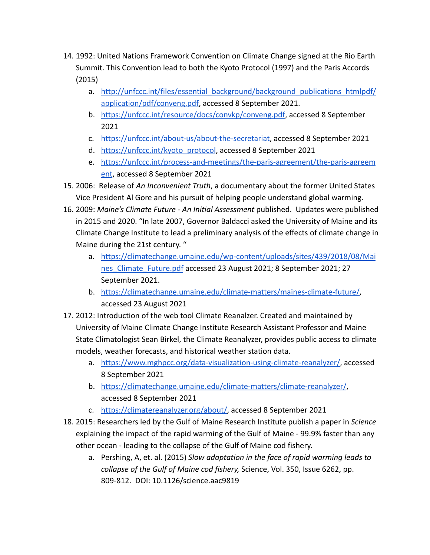- 14. 1992: United Nations Framework Convention on Climate Change signed at the Rio Earth Summit. This Convention lead to both the Kyoto Protocol (1997) and the Paris Accords (2015)
	- a. [http://unfccc.int/files/essential\\_background/background\\_publications\\_htmlpdf/](http://unfccc.int/files/essential_background/background_publications_htmlpdf/application/pdf/conveng.pdf) [application/pdf/conveng.pdf](http://unfccc.int/files/essential_background/background_publications_htmlpdf/application/pdf/conveng.pdf), accessed 8 September 2021.
	- b. <https://unfccc.int/resource/docs/convkp/conveng.pdf>, accessed 8 September 2021
	- c. <https://unfccc.int/about-us/about-the-secretariat>, accessed 8 September 2021
	- d. [https://unfccc.int/kyoto\\_protocol](https://unfccc.int/kyoto_protocol), accessed 8 September 2021
	- e. [https://unfccc.int/process-and-meetings/the-paris-agreement/the-paris-agreem](https://unfccc.int/process-and-meetings/the-paris-agreement/the-paris-agreement) [ent](https://unfccc.int/process-and-meetings/the-paris-agreement/the-paris-agreement), accessed 8 September 2021
- 15. 2006: Release of *An Inconvenient Truth*, a documentary about the former United States Vice President Al Gore and his pursuit of helping people understand global warming.
- 16. 2009: *Maine's Climate Future An Initial Assessment* published. Updates were published in 2015 and 2020. "In late 2007, Governor Baldacci asked the University of Maine and its Climate Change Institute to lead a preliminary analysis of the effects of climate change in Maine during the 21st century. "
	- a. [https://climatechange.umaine.edu/wp-content/uploads/sites/439/2018/08/Mai](https://climatechange.umaine.edu/wp-content/uploads/sites/439/2018/08/Maines_Climate_Future.pdf) [nes\\_Climate\\_Future.pdf](https://climatechange.umaine.edu/wp-content/uploads/sites/439/2018/08/Maines_Climate_Future.pdf) accessed 23 August 2021; 8 September 2021; 27 September 2021.
	- b. <https://climatechange.umaine.edu/climate-matters/maines-climate-future/>, accessed 23 August 2021
- 17. 2012: Introduction of the web tool Climate Reanalzer. Created and maintained by University of Maine Climate Change Institute Research Assistant Professor and Maine State Climatologist Sean Birkel, the Climate Reanalyzer, provides public access to climate models, weather forecasts, and historical weather station data.
	- a. <https://www.mghpcc.org/data-visualization-using-climate-reanalyzer/>, accessed 8 September 2021
	- b. <https://climatechange.umaine.edu/climate-matters/climate-reanalyzer/>, accessed 8 September 2021
	- c. <https://climatereanalyzer.org/about/>, accessed 8 September 2021
- 18. 2015: Researchers led by the Gulf of Maine Research Institute publish a paper in *Science* explaining the impact of the rapid warming of the Gulf of Maine - 99.9% faster than any other ocean - leading to the collapse of the Gulf of Maine cod fishery.
	- a. Pershing, A, et. al. (2015) *Slow adaptation in the face of rapid warming leads to collapse of the Gulf of Maine cod fishery,* Science, Vol. 350, Issue 6262, pp. 809-812. DOI: 10.1126/science.aac9819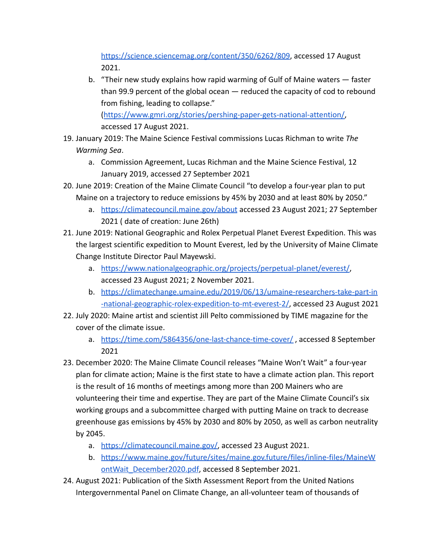<https://science.sciencemag.org/content/350/6262/809>, accessed 17 August 2021.

b. "Their new study explains how rapid warming of Gulf of Maine waters — faster than 99.9 percent of the global ocean — reduced the capacity of cod to rebound from fishing, leading to collapse."

([https://www.gmri.org/stories/pershing-paper-gets-national-attention/,](https://www.gmri.org/stories/pershing-paper-gets-national-attention/) accessed 17 August 2021.

- 19. January 2019: The Maine Science Festival commissions Lucas Richman to write *The Warming Sea*.
	- a. Commission Agreement, Lucas Richman and the Maine Science Festival, 12 January 2019, accessed 27 September 2021
- 20. June 2019: Creation of the Maine Climate Council "to develop a four-year plan to put Maine on a trajectory to reduce emissions by 45% by 2030 and at least 80% by 2050."
	- a. <https://climatecouncil.maine.gov/about> accessed 23 August 2021; 27 September 2021 ( date of creation: June 26th)
- 21. June 2019: National Geographic and Rolex Perpetual Planet Everest Expedition. This was the largest scientific expedition to Mount Everest, led by the University of Maine Climate Change Institute Director Paul Mayewski.
	- a. <https://www.nationalgeographic.org/projects/perpetual-planet/everest/>, accessed 23 August 2021; 2 November 2021.
	- b. [https://climatechange.umaine.edu/2019/06/13/umaine-researchers-take-part-in](https://climatechange.umaine.edu/2019/06/13/umaine-researchers-take-part-in-national-geographic-rolex-expedition-to-mt-everest-2/) [-national-geographic-rolex-expedition-to-mt-everest-2/,](https://climatechange.umaine.edu/2019/06/13/umaine-researchers-take-part-in-national-geographic-rolex-expedition-to-mt-everest-2/) accessed 23 August 2021
- 22. July 2020: Maine artist and scientist Jill Pelto commissioned by TIME magazine for the cover of the climate issue.
	- a. <https://time.com/5864356/one-last-chance-time-cover/> , accessed 8 September 2021
- 23. December 2020: The Maine Climate Council releases "Maine Won't Wait" a four-year plan for climate action; Maine is the first state to have a climate action plan. This report is the result of 16 months of meetings among more than 200 Mainers who are volunteering their time and expertise. They are part of the Maine Climate Council's six working groups and a subcommittee charged with putting Maine on track to decrease greenhouse gas emissions by 45% by 2030 and 80% by 2050, as well as carbon neutrality by 2045.
	- a. [https://climatecouncil.maine.gov/,](https://climatecouncil.maine.gov/) accessed 23 August 2021.
	- b. [https://www.maine.gov/future/sites/maine.gov.future/files/inline-files/MaineW](https://www.maine.gov/future/sites/maine.gov.future/files/inline-files/MaineWontWait_December2020.pdf) [ontWait\\_December2020.pdf](https://www.maine.gov/future/sites/maine.gov.future/files/inline-files/MaineWontWait_December2020.pdf), accessed 8 September 2021.
- 24. August 2021: Publication of the Sixth Assessment Report from the United Nations Intergovernmental Panel on Climate Change, an all-volunteer team of thousands of